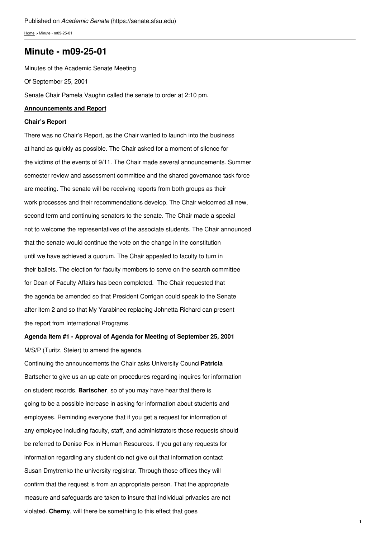[Home](https://senate.sfsu.edu/) > Minute - m09-25-01

### **Minute - [m09-25-01](https://senate.sfsu.edu/content/minute-m09-25-01)**

Minutes of the Academic Senate Meeting Of September 25, 2001 Senate Chair Pamela Vaughn called the senate to order at 2:10 pm.

### **Announcements and Report**

### **Chair's Report**

There was no Chair's Report, as the Chair wanted to launch into the business at hand as quickly as possible. The Chair asked for a moment of silence for the victims of the events of 9/11. The Chair made several announcements. Summer semester review and assessment committee and the shared governance task force are meeting. The senate will be receiving reports from both groups as their work processes and their recommendations develop. The Chair welcomed all new, second term and continuing senators to the senate. The Chair made a special not to welcome the representatives of the associate students. The Chair announced that the senate would continue the vote on the change in the constitution until we have achieved a quorum. The Chair appealed to faculty to turn in their ballets. The election for faculty members to serve on the search committee for Dean of Faculty Affairs has been completed. The Chair requested that the agenda be amended so that President Corrigan could speak to the Senate after item 2 and so that My Yarabinec replacing Johnetta Richard can present the report from International Programs.

# **Agenda Item #1 - Approval of Agenda for Meeting of September 25, 2001** M/S/P (Turitz, Steier) to amend the agenda.

Continuing the announcements the Chair asks University Council**Patricia** Bartscher to give us an up date on procedures regarding inquires for information on student records. **Bartscher**, so of you may have hear that there is going to be a possible increase in asking for information about students and employees. Reminding everyone that if you get a request for information of any employee including faculty, staff, and administrators those requests should be referred to Denise Fox in Human Resources. If you get any requests for information regarding any student do not give out that information contact Susan Dmytrenko the university registrar. Through those offices they will confirm that the request is from an appropriate person. That the appropriate measure and safeguards are taken to insure that individual privacies are not violated. **Cherny**, will there be something to this effect that goes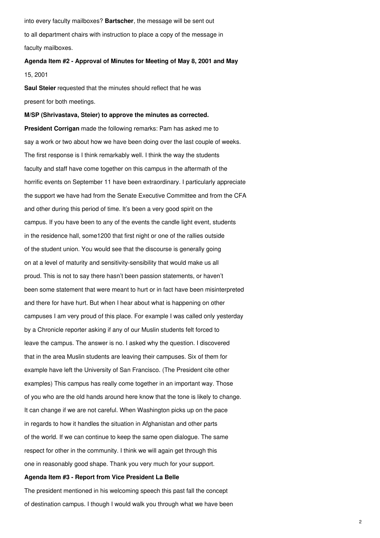into every faculty mailboxes? **Bartscher**, the message will be sent out to all department chairs with instruction to place a copy of the message in faculty mailboxes.

# **Agenda Item #2 - Approval of Minutes for Meeting of May 8, 2001 and May** 15, 2001

**Saul Steier** requested that the minutes should reflect that he was present for both meetings.

### **M/SP (Shrivastava, Steier) to approve the minutes as corrected.**

**President Corrigan** made the following remarks: Pam has asked me to say a work or two about how we have been doing over the last couple of weeks. The first response is I think remarkably well. I think the way the students faculty and staff have come together on this campus in the aftermath of the horrific events on September 11 have been extraordinary. I particularly appreciate the support we have had from the Senate Executive Committee and from the CFA and other during this period of time. It's been a very good spirit on the campus. If you have been to any of the events the candle light event, students in the residence hall, some1200 that first night or one of the rallies outside of the student union. You would see that the discourse is generally going on at a level of maturity and sensitivity-sensibility that would make us all proud. This is not to say there hasn't been passion statements, or haven't been some statement that were meant to hurt or in fact have been misinterpreted and there for have hurt. But when I hear about what is happening on other campuses I am very proud of this place. For example I was called only yesterday by a Chronicle reporter asking if any of our Muslin students felt forced to leave the campus. The answer is no. I asked why the question. I discovered that in the area Muslin students are leaving their campuses. Six of them for example have left the University of San Francisco. (The President cite other examples) This campus has really come together in an important way. Those of you who are the old hands around here know that the tone is likely to change. It can change if we are not careful. When Washington picks up on the pace in regards to how it handles the situation in Afghanistan and other parts of the world. If we can continue to keep the same open dialogue. The same respect for other in the community. I think we will again get through this one in reasonably good shape. Thank you very much for your support.

#### **Agenda Item #3 - Report from Vice President La Belle**

The president mentioned in his welcoming speech this past fall the concept of destination campus. I though I would walk you through what we have been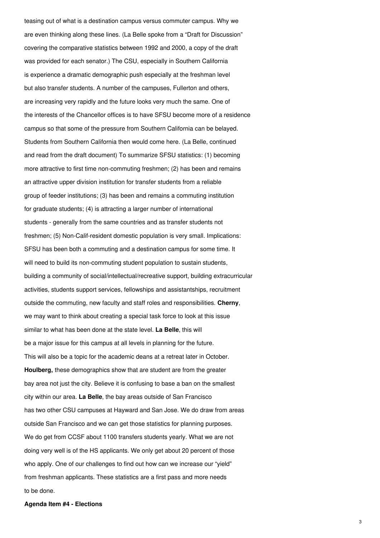teasing out of what is a destination campus versus commuter campus. Why we are even thinking along these lines. (La Belle spoke from a "Draft for Discussion" covering the comparative statistics between 1992 and 2000, a copy of the draft was provided for each senator.) The CSU, especially in Southern California is experience a dramatic demographic push especially at the freshman level but also transfer students. A number of the campuses, Fullerton and others, are increasing very rapidly and the future looks very much the same. One of the interests of the Chancellor offices is to have SFSU become more of a residence campus so that some of the pressure from Southern California can be belayed. Students from Southern California then would come here. (La Belle, continued and read from the draft document) To summarize SFSU statistics: (1) becoming more attractive to first time non-commuting freshmen; (2) has been and remains an attractive upper division institution for transfer students from a reliable group of feeder institutions; (3) has been and remains a commuting institution for graduate students; (4) is attracting a larger number of international students - generally from the same countries and as transfer students not freshmen; (5) Non-Calif-resident domestic population is very small. Implications: SFSU has been both a commuting and a destination campus for some time. It will need to build its non-commuting student population to sustain students, building a community of social/intellectual/recreative support, building extracurricular activities, students support services, fellowships and assistantships, recruitment outside the commuting, new faculty and staff roles and responsibilities. **Cherny**, we may want to think about creating a special task force to look at this issue similar to what has been done at the state level. **La Belle**, this will be a major issue for this campus at all levels in planning for the future. This will also be a topic for the academic deans at a retreat later in October. **Houlberg,** these demographics show that are student are from the greater bay area not just the city. Believe it is confusing to base a ban on the smallest city within our area. **La Belle**, the bay areas outside of San Francisco has two other CSU campuses at Hayward and San Jose. We do draw from areas outside San Francisco and we can get those statistics for planning purposes. We do get from CCSF about 1100 transfers students yearly. What we are not doing very well is of the HS applicants. We only get about 20 percent of those who apply. One of our challenges to find out how can we increase our "yield" from freshman applicants. These statistics are a first pass and more needs to be done.

### **Agenda Item #4 - Elections**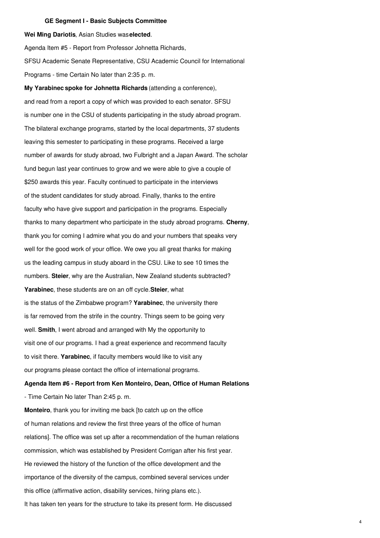#### **GE Segment I - Basic Subjects Committee**

**Wei Ming Dariotis**, Asian Studies was**elected**.

Agenda Item #5 - Report from Professor Johnetta Richards, SFSU Academic Senate Representative, CSU Academic Council for International Programs - time Certain No later than 2:35 p. m.

**My Yarabinec spoke for Johnetta Richards** (attending a conference), and read from a report a copy of which was provided to each senator. SFSU is number one in the CSU of students participating in the study abroad program. The bilateral exchange programs, started by the local departments, 37 students leaving this semester to participating in these programs. Received a large number of awards for study abroad, two Fulbright and a Japan Award. The scholar fund begun last year continues to grow and we were able to give a couple of \$250 awards this year. Faculty continued to participate in the interviews of the student candidates for study abroad. Finally, thanks to the entire faculty who have give support and participation in the programs. Especially thanks to many department who participate in the study abroad programs. **Cherny**, thank you for coming I admire what you do and your numbers that speaks very well for the good work of your office. We owe you all great thanks for making us the leading campus in study aboard in the CSU. Like to see 10 times the numbers. **Steier**, why are the Australian, New Zealand students subtracted? **Yarabinec**, these students are on an off cycle.**Steier**, what is the status of the Zimbabwe program? **Yarabinec**, the university there is far removed from the strife in the country. Things seem to be going very well. **Smith**, I went abroad and arranged with My the opportunity to visit one of our programs. I had a great experience and recommend faculty to visit there. **Yarabinec**, if faculty members would like to visit any our programs please contact the office of international programs.

## **Agenda Item #6 - Report from Ken Monteiro, Dean, Office of Human Relations** - Time Certain No later Than 2:45 p. m.

**Monteiro**, thank you for inviting me back [to catch up on the office of human relations and review the first three years of the office of human relations]. The office was set up after a recommendation of the human relations commission, which was established by President Corrigan after his first year. He reviewed the history of the function of the office development and the importance of the diversity of the campus, combined several services under this office (affirmative action, disability services, hiring plans etc.). It has taken ten years for the structure to take its present form. He discussed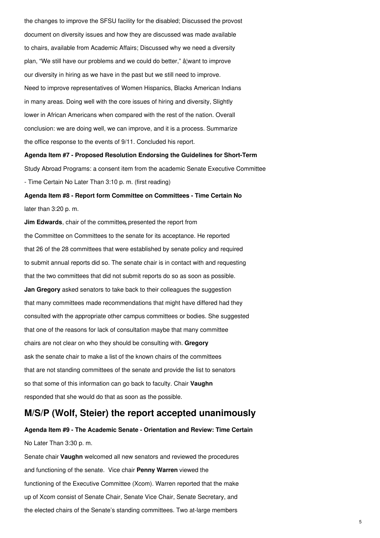the changes to improve the SFSU facility for the disabled; Discussed the provost document on diversity issues and how they are discussed was made available to chairs, available from Academic Affairs; Discussed why we need a diversity plan, "We still have our problems and we could do better," â¦want to improve our diversity in hiring as we have in the past but we still need to improve. Need to improve representatives of Women Hispanics, Blacks American Indians in many areas. Doing well with the core issues of hiring and diversity, Slightly lower in African Americans when compared with the rest of the nation. Overall conclusion: we are doing well, we can improve, and it is a process. Summarize the office response to the events of 9/11. Concluded his report.

**Agenda Item #7 - Proposed Resolution Endorsing the Guidelines for Short-Term** Study Abroad Programs: a consent item from the academic Senate Executive Committee - Time Certain No Later Than 3:10 p. m. (first reading)

**Agenda Item #8 - Report form Committee on Committees - Time Certain No** later than 3:20 p. m.

**Jim Edwards**, chair of the committee**,** presented the report from the Committee on Committees to the senate for its acceptance. He reported that 26 of the 28 committees that were established by senate policy and required to submit annual reports did so. The senate chair is in contact with and requesting that the two committees that did not submit reports do so as soon as possible. **Jan Gregory** asked senators to take back to their colleagues the suggestion that many committees made recommendations that might have differed had they consulted with the appropriate other campus committees or bodies. She suggested that one of the reasons for lack of consultation maybe that many committee chairs are not clear on who they should be consulting with. **Gregory** ask the senate chair to make a list of the known chairs of the committees that are not standing committees of the senate and provide the list to senators so that some of this information can go back to faculty. Chair **Vaughn** responded that she would do that as soon as the possible.

### **M/S/P (Wolf, Steier) the report accepted unanimously**

# **Agenda Item #9 - The Academic Senate - Orientation and Review: Time Certain** No Later Than 3:30 p. m.

Senate chair **Vaughn** welcomed all new senators and reviewed the procedures and functioning of the senate. Vice chair **Penny Warren** viewed the functioning of the Executive Committee (Xcom). Warren reported that the make up of Xcom consist of Senate Chair, Senate Vice Chair, Senate Secretary, and the elected chairs of the Senate's standing committees. Two at-large members